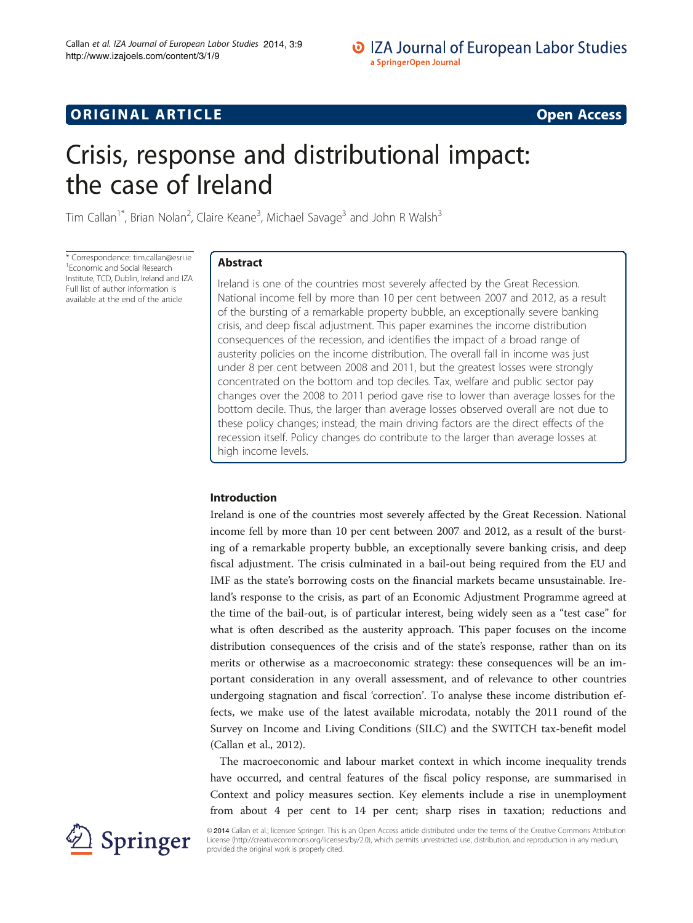## **ORIGINAL ARTICLE CONSERVANCE IN A LOCAL CONSERVANCE IN A LOCAL CONSERVANCE IN A LOCAL CONSERVANCE IN A LOCAL CONSERVANCE IN A LOCAL CONSERVANCE IN A LOCAL CONSERVANCE IN A LOCAL CONSERVANCE IN A LOCAL CONSERVANCE IN A L**

# Crisis, response and distributional impact: the case of Ireland

Tim Callan<sup>1\*</sup>, Brian Nolan<sup>2</sup>, Claire Keane<sup>3</sup>, Michael Savage<sup>3</sup> and John R Walsh<sup>3</sup>

\* Correspondence: [tim.callan@esri.ie](mailto:tim.callan@esri.ie) <sup>1</sup> Economic and Social Research Institute, TCD, Dublin, Ireland and IZA Full list of author information is available at the end of the article

#### Abstract

Ireland is one of the countries most severely affected by the Great Recession. National income fell by more than 10 per cent between 2007 and 2012, as a result of the bursting of a remarkable property bubble, an exceptionally severe banking crisis, and deep fiscal adjustment. This paper examines the income distribution consequences of the recession, and identifies the impact of a broad range of austerity policies on the income distribution. The overall fall in income was just under 8 per cent between 2008 and 2011, but the greatest losses were strongly concentrated on the bottom and top deciles. Tax, welfare and public sector pay changes over the 2008 to 2011 period gave rise to lower than average losses for the bottom decile. Thus, the larger than average losses observed overall are not due to these policy changes; instead, the main driving factors are the direct effects of the recession itself. Policy changes do contribute to the larger than average losses at high income levels.

#### Introduction

Ireland is one of the countries most severely affected by the Great Recession. National income fell by more than 10 per cent between 2007 and 2012, as a result of the bursting of a remarkable property bubble, an exceptionally severe banking crisis, and deep fiscal adjustment. The crisis culminated in a bail-out being required from the EU and IMF as the state's borrowing costs on the financial markets became unsustainable. Ireland's response to the crisis, as part of an Economic Adjustment Programme agreed at the time of the bail-out, is of particular interest, being widely seen as a "test case" for what is often described as the austerity approach. This paper focuses on the income distribution consequences of the crisis and of the state's response, rather than on its merits or otherwise as a macroeconomic strategy: these consequences will be an important consideration in any overall assessment, and of relevance to other countries undergoing stagnation and fiscal 'correction'. To analyse these income distribution effects, we make use of the latest available microdata, notably the 2011 round of the Survey on Income and Living Conditions (SILC) and the SWITCH tax-benefit model (Callan et al., [2012](#page-16-0)).

The macroeconomic and labour market context in which income inequality trends have occurred, and central features of the fiscal policy response, are summarised in [Context and policy measures](#page-1-0) section. Key elements include a rise in unemployment from about 4 per cent to 14 per cent; sharp rises in taxation; reductions and



© 2014 Callan et al.; licensee Springer. This is an Open Access article distributed under the terms of the Creative Commons Attribution License [\(http://creativecommons.org/licenses/by/2.0\)](http://creativecommons.org/licenses/by/2.0), which permits unrestricted use, distribution, and reproduction in any medium, provided the original work is properly cited.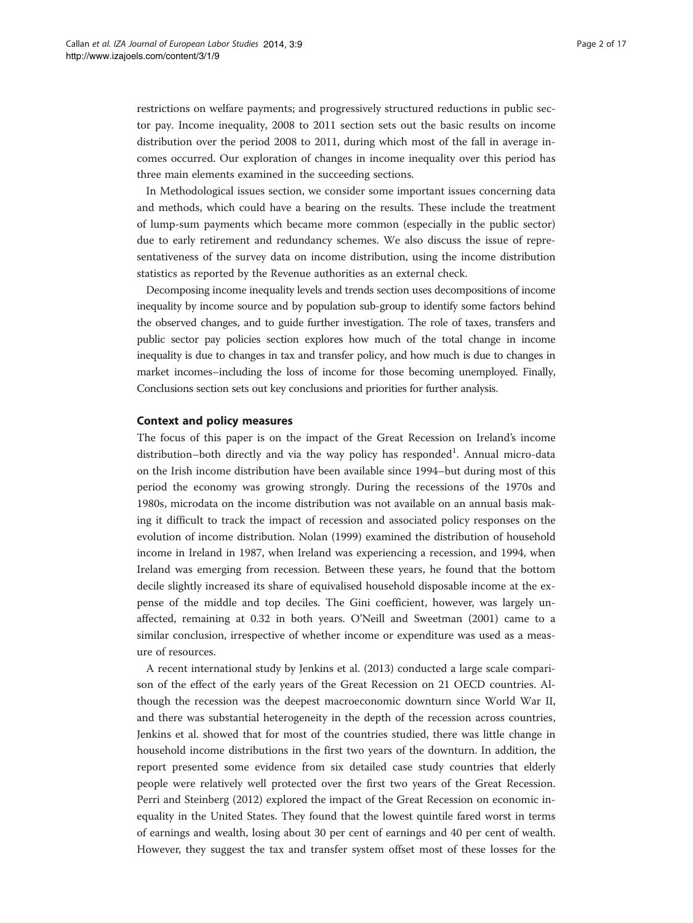<span id="page-1-0"></span>restrictions on welfare payments; and progressively structured reductions in public sector pay. [Income inequality, 2008 to 2011](#page-4-0) section sets out the basic results on income distribution over the period 2008 to 2011, during which most of the fall in average incomes occurred. Our exploration of changes in income inequality over this period has three main elements examined in the succeeding sections.

In [Methodological issues](#page-7-0) section, we consider some important issues concerning data and methods, which could have a bearing on the results. These include the treatment of lump-sum payments which became more common (especially in the public sector) due to early retirement and redundancy schemes. We also discuss the issue of representativeness of the survey data on income distribution, using the income distribution statistics as reported by the Revenue authorities as an external check.

[Decomposing income inequality levels and trends](#page-8-0) section uses decompositions of income inequality by income source and by population sub-group to identify some factors behind the observed changes, and to guide further investigation. [The role of taxes, transfers and](#page-12-0) [public sector pay policies](#page-12-0) section explores how much of the total change in income inequality is due to changes in tax and transfer policy, and how much is due to changes in market incomes–including the loss of income for those becoming unemployed. Finally, [Conclusions](#page-13-0) section sets out key conclusions and priorities for further analysis.

#### Context and policy measures

The focus of this paper is on the impact of the Great Recession on Ireland's income distribution–both directly and via the way policy has responded<sup>1</sup>. Annual micro-data on the Irish income distribution have been available since 1994–but during most of this period the economy was growing strongly. During the recessions of the 1970s and 1980s, microdata on the income distribution was not available on an annual basis making it difficult to track the impact of recession and associated policy responses on the evolution of income distribution. Nolan [\(1999\)](#page-16-0) examined the distribution of household income in Ireland in 1987, when Ireland was experiencing a recession, and 1994, when Ireland was emerging from recession. Between these years, he found that the bottom decile slightly increased its share of equivalised household disposable income at the expense of the middle and top deciles. The Gini coefficient, however, was largely unaffected, remaining at 0.32 in both years. O'Neill and Sweetman ([2001](#page-16-0)) came to a similar conclusion, irrespective of whether income or expenditure was used as a measure of resources.

A recent international study by Jenkins et al. ([2013\)](#page-16-0) conducted a large scale comparison of the effect of the early years of the Great Recession on 21 OECD countries. Although the recession was the deepest macroeconomic downturn since World War II, and there was substantial heterogeneity in the depth of the recession across countries, Jenkins et al. showed that for most of the countries studied, there was little change in household income distributions in the first two years of the downturn. In addition, the report presented some evidence from six detailed case study countries that elderly people were relatively well protected over the first two years of the Great Recession. Perri and Steinberg [\(2012\)](#page-16-0) explored the impact of the Great Recession on economic inequality in the United States. They found that the lowest quintile fared worst in terms of earnings and wealth, losing about 30 per cent of earnings and 40 per cent of wealth. However, they suggest the tax and transfer system offset most of these losses for the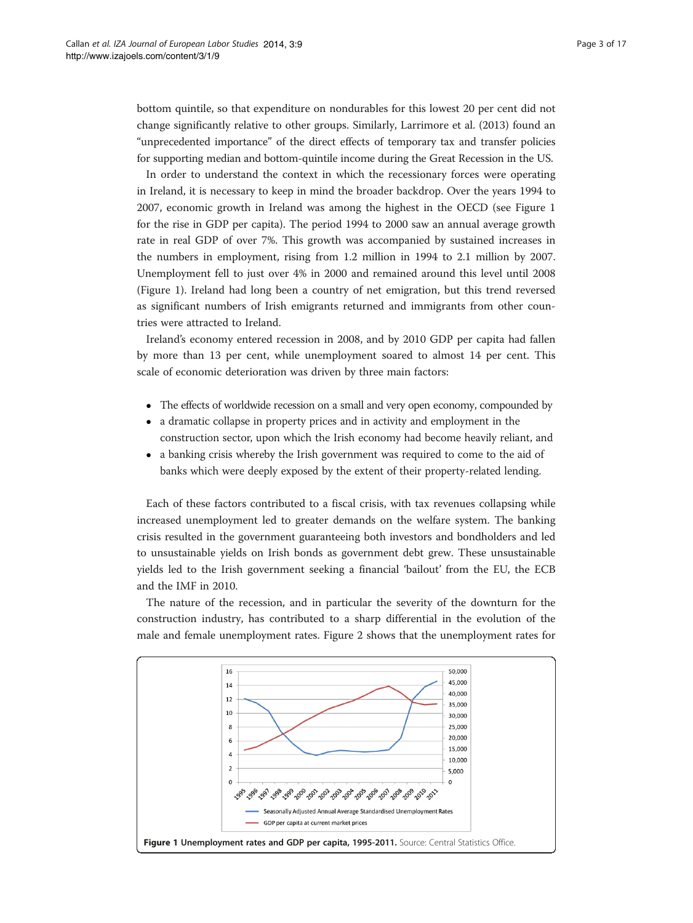bottom quintile, so that expenditure on nondurables for this lowest 20 per cent did not change significantly relative to other groups. Similarly, Larrimore et al. ([2013](#page-16-0)) found an "unprecedented importance" of the direct effects of temporary tax and transfer policies for supporting median and bottom-quintile income during the Great Recession in the US.

In order to understand the context in which the recessionary forces were operating in Ireland, it is necessary to keep in mind the broader backdrop. Over the years 1994 to 2007, economic growth in Ireland was among the highest in the OECD (see Figure 1 for the rise in GDP per capita). The period 1994 to 2000 saw an annual average growth rate in real GDP of over 7%. This growth was accompanied by sustained increases in the numbers in employment, rising from 1.2 million in 1994 to 2.1 million by 2007. Unemployment fell to just over 4% in 2000 and remained around this level until 2008 (Figure 1). Ireland had long been a country of net emigration, but this trend reversed as significant numbers of Irish emigrants returned and immigrants from other countries were attracted to Ireland.

Ireland's economy entered recession in 2008, and by 2010 GDP per capita had fallen by more than 13 per cent, while unemployment soared to almost 14 per cent. This scale of economic deterioration was driven by three main factors:

- The effects of worldwide recession on a small and very open economy, compounded by
- a dramatic collapse in property prices and in activity and employment in the construction sector, upon which the Irish economy had become heavily reliant, and
- a banking crisis whereby the Irish government was required to come to the aid of banks which were deeply exposed by the extent of their property-related lending.

Each of these factors contributed to a fiscal crisis, with tax revenues collapsing while increased unemployment led to greater demands on the welfare system. The banking crisis resulted in the government guaranteeing both investors and bondholders and led to unsustainable yields on Irish bonds as government debt grew. These unsustainable yields led to the Irish government seeking a financial 'bailout' from the EU, the ECB and the IMF in 2010.

The nature of the recession, and in particular the severity of the downturn for the construction industry, has contributed to a sharp differential in the evolution of the male and female unemployment rates. Figure [2](#page-3-0) shows that the unemployment rates for

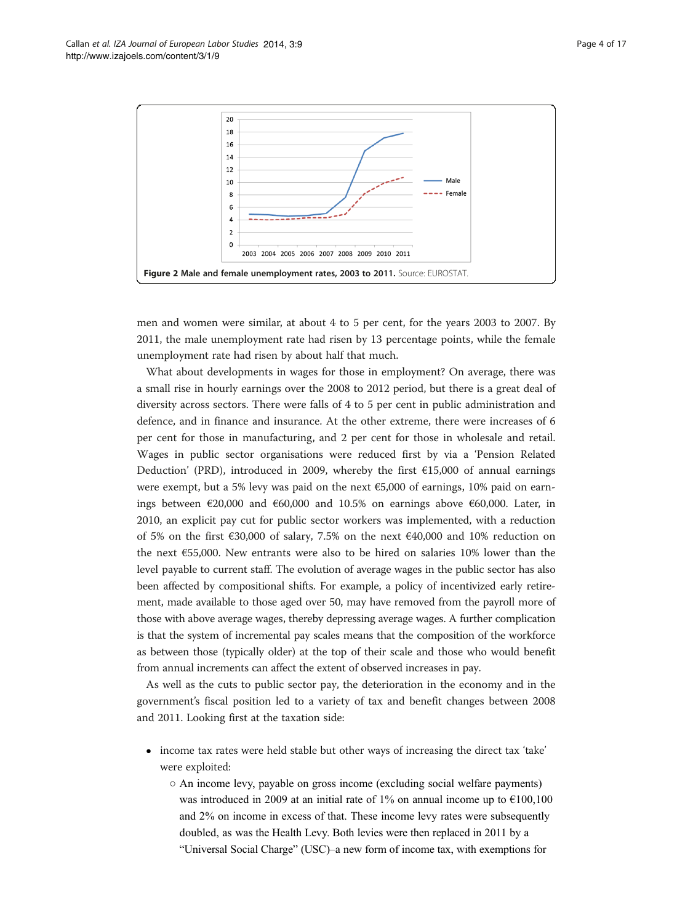<span id="page-3-0"></span>

men and women were similar, at about 4 to 5 per cent, for the years 2003 to 2007. By 2011, the male unemployment rate had risen by 13 percentage points, while the female unemployment rate had risen by about half that much.

What about developments in wages for those in employment? On average, there was a small rise in hourly earnings over the 2008 to 2012 period, but there is a great deal of diversity across sectors. There were falls of 4 to 5 per cent in public administration and defence, and in finance and insurance. At the other extreme, there were increases of 6 per cent for those in manufacturing, and 2 per cent for those in wholesale and retail. Wages in public sector organisations were reduced first by via a 'Pension Related Deduction' (PRD), introduced in 2009, whereby the first  $€15,000$  of annual earnings were exempt, but a 5% levy was paid on the next €5,000 of earnings, 10% paid on earnings between €20,000 and €60,000 and 10.5% on earnings above €60,000. Later, in 2010, an explicit pay cut for public sector workers was implemented, with a reduction of 5% on the first €30,000 of salary, 7.5% on the next €40,000 and 10% reduction on the next €55,000. New entrants were also to be hired on salaries 10% lower than the level payable to current staff. The evolution of average wages in the public sector has also been affected by compositional shifts. For example, a policy of incentivized early retirement, made available to those aged over 50, may have removed from the payroll more of those with above average wages, thereby depressing average wages. A further complication is that the system of incremental pay scales means that the composition of the workforce as between those (typically older) at the top of their scale and those who would benefit from annual increments can affect the extent of observed increases in pay.

As well as the cuts to public sector pay, the deterioration in the economy and in the government's fiscal position led to a variety of tax and benefit changes between 2008 and 2011. Looking first at the taxation side:

- income tax rates were held stable but other ways of increasing the direct tax 'take' were exploited:
	- An income levy, payable on gross income (excluding social welfare payments) was introduced in 2009 at an initial rate of 1% on annual income up to  $\epsilon$ 100,100 and 2% on income in excess of that. These income levy rates were subsequently doubled, as was the Health Levy. Both levies were then replaced in 2011 by a "Universal Social Charge" (USC)–a new form of income tax, with exemptions for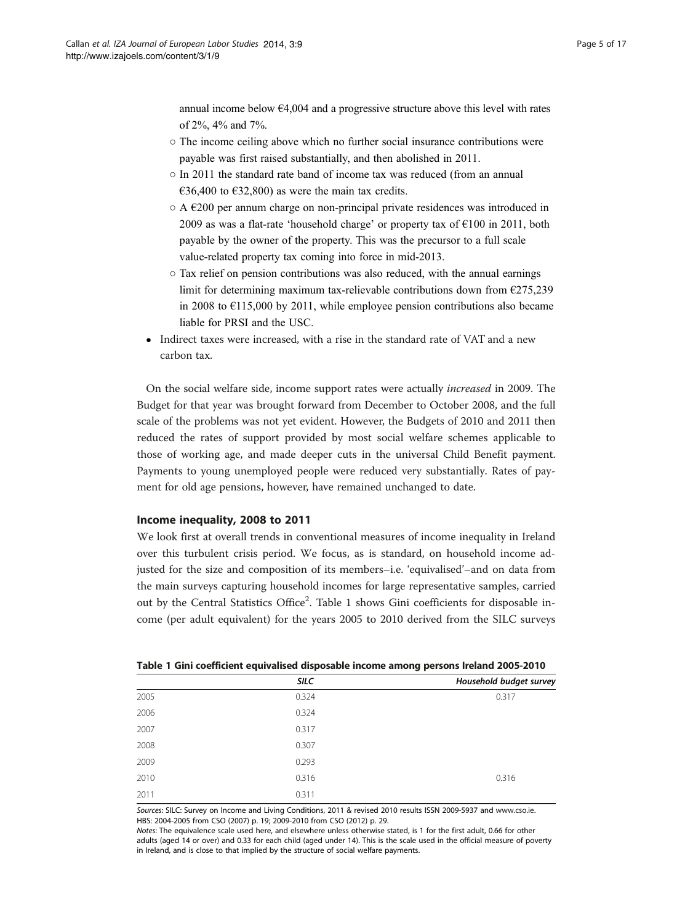<span id="page-4-0"></span>annual income below  $64,004$  and a progressive structure above this level with rates of 2%, 4% and 7%.

- The income ceiling above which no further social insurance contributions were payable was first raised substantially, and then abolished in 2011.
- In 2011 the standard rate band of income tax was reduced (from an annual €36,400 to €32,800) as were the main tax credits.
- $\circ$  A  $\epsilon$ 200 per annum charge on non-principal private residences was introduced in 2009 as was a flat-rate 'household charge' or property tax of  $\epsilon$ 100 in 2011, both payable by the owner of the property. This was the precursor to a full scale value-related property tax coming into force in mid-2013.
- Tax relief on pension contributions was also reduced, with the annual earnings limit for determining maximum tax-relievable contributions down from €275,239 in 2008 to €115,000 by 2011, while employee pension contributions also became liable for PRSI and the USC.
- Indirect taxes were increased, with a rise in the standard rate of VAT and a new carbon tax.

On the social welfare side, income support rates were actually increased in 2009. The Budget for that year was brought forward from December to October 2008, and the full scale of the problems was not yet evident. However, the Budgets of 2010 and 2011 then reduced the rates of support provided by most social welfare schemes applicable to those of working age, and made deeper cuts in the universal Child Benefit payment. Payments to young unemployed people were reduced very substantially. Rates of payment for old age pensions, however, have remained unchanged to date.

#### Income inequality, 2008 to 2011

We look first at overall trends in conventional measures of income inequality in Ireland over this turbulent crisis period. We focus, as is standard, on household income adjusted for the size and composition of its members–i.e. 'equivalised'–and on data from the main surveys capturing household incomes for large representative samples, carried out by the Central Statistics Office<sup>2</sup>. Table 1 shows Gini coefficients for disposable income (per adult equivalent) for the years 2005 to 2010 derived from the SILC surveys

|  |  |  |  |  | Table 1 Gini coefficient equivalised disposable income among persons Ireland 2005-2010 |  |
|--|--|--|--|--|----------------------------------------------------------------------------------------|--|
|--|--|--|--|--|----------------------------------------------------------------------------------------|--|

|      | <b>SILC</b> | Household budget survey |
|------|-------------|-------------------------|
| 2005 | 0.324       | 0.317                   |
| 2006 | 0.324       |                         |
| 2007 | 0.317       |                         |
| 2008 | 0.307       |                         |
| 2009 | 0.293       |                         |
| 2010 | 0.316       | 0.316                   |
| 2011 | 0.311       |                         |
|      |             |                         |

Sources: SILC: Survey on Income and Living Conditions, 2011 & revised 2010 results ISSN 2009-5937 and [www.cso.ie](http://www.cso.ie). HBS: 2004-2005 from CSO (2007) p. 19; 2009-2010 from CSO (2012) p. 29.

Notes: The equivalence scale used here, and elsewhere unless otherwise stated, is 1 for the first adult, 0.66 for other adults (aged 14 or over) and 0.33 for each child (aged under 14). This is the scale used in the official measure of poverty in Ireland, and is close to that implied by the structure of social welfare payments.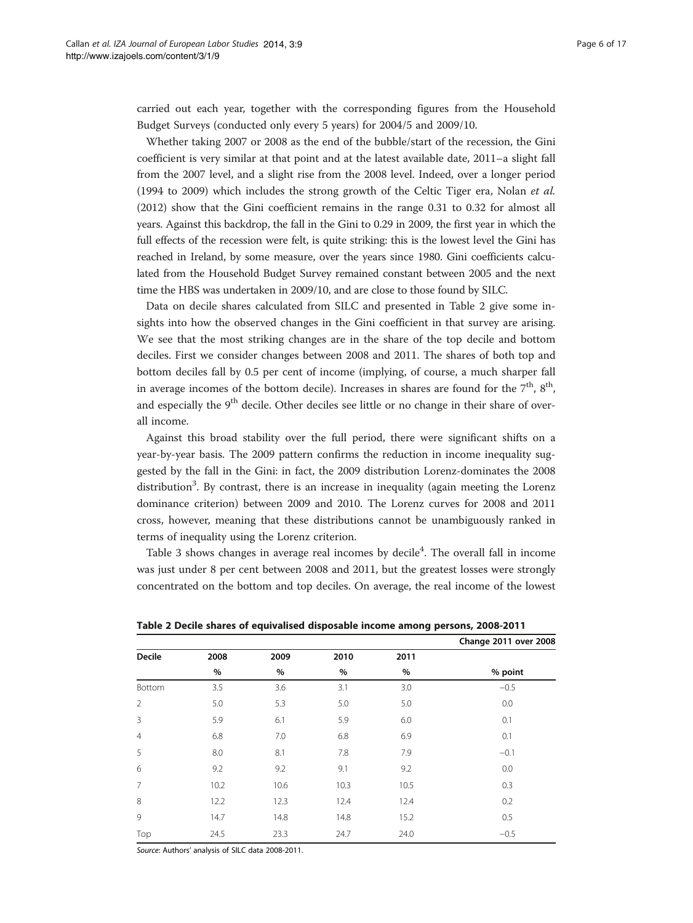carried out each year, together with the corresponding figures from the Household Budget Surveys (conducted only every 5 years) for 2004/5 and 2009/10.

Whether taking 2007 or 2008 as the end of the bubble/start of the recession, the Gini coefficient is very similar at that point and at the latest available date, 2011–a slight fall from the 2007 level, and a slight rise from the 2008 level. Indeed, over a longer period (1994 to 2009) which includes the strong growth of the Celtic Tiger era, Nolan et al. ([2012](#page-16-0)) show that the Gini coefficient remains in the range 0.31 to 0.32 for almost all years. Against this backdrop, the fall in the Gini to 0.29 in 2009, the first year in which the full effects of the recession were felt, is quite striking: this is the lowest level the Gini has reached in Ireland, by some measure, over the years since 1980. Gini coefficients calculated from the Household Budget Survey remained constant between 2005 and the next time the HBS was undertaken in 2009/10, and are close to those found by SILC.

Data on decile shares calculated from SILC and presented in Table 2 give some insights into how the observed changes in the Gini coefficient in that survey are arising. We see that the most striking changes are in the share of the top decile and bottom deciles. First we consider changes between 2008 and 2011. The shares of both top and bottom deciles fall by 0.5 per cent of income (implying, of course, a much sharper fall in average incomes of the bottom decile). Increases in shares are found for the  $7<sup>th</sup>$ ,  $8<sup>th</sup>$ , and especially the  $9<sup>th</sup>$  decile. Other deciles see little or no change in their share of overall income.

Against this broad stability over the full period, there were significant shifts on a year-by-year basis. The 2009 pattern confirms the reduction in income inequality suggested by the fall in the Gini: in fact, the 2009 distribution Lorenz-dominates the 2008 distribution<sup>3</sup>. By contrast, there is an increase in inequality (again meeting the Lorenz dominance criterion) between 2009 and 2010. The Lorenz curves for 2008 and 2011 cross, however, meaning that these distributions cannot be unambiguously ranked in terms of inequality using the Lorenz criterion.

Table [3](#page-6-0) shows changes in average real incomes by decile<sup>4</sup>. The overall fall in income was just under 8 per cent between 2008 and 2011, but the greatest losses were strongly concentrated on the bottom and top deciles. On average, the real income of the lowest

|                |      |      |      |      | Change 2011 over 2008 |
|----------------|------|------|------|------|-----------------------|
| <b>Decile</b>  | 2008 | 2009 | 2010 | 2011 |                       |
|                | %    | %    | %    | %    | % point               |
| Bottom         | 3.5  | 3.6  | 3.1  | 3.0  | $-0.5$                |
| 2              | 5.0  | 5.3  | 5.0  | 5.0  | 0.0                   |
| 3              | 5.9  | 6.1  | 5.9  | 6.0  | 0.1                   |
| $\overline{4}$ | 6.8  | 7.0  | 6.8  | 6.9  | 0.1                   |
| 5              | 8.0  | 8.1  | 7.8  | 7.9  | $-0.1$                |
| 6              | 9.2  | 9.2  | 9.1  | 9.2  | 0.0                   |
| 7              | 10.2 | 10.6 | 10.3 | 10.5 | 0.3                   |
| 8              | 12.2 | 12.3 | 12.4 | 12.4 | 0.2                   |
| 9              | 14.7 | 14.8 | 14.8 | 15.2 | 0.5                   |
| Top            | 24.5 | 23.3 | 24.7 | 24.0 | $-0.5$                |

Table 2 Decile shares of equivalised disposable income among persons, 2008-2011

Source: Authors' analysis of SILC data 2008-2011.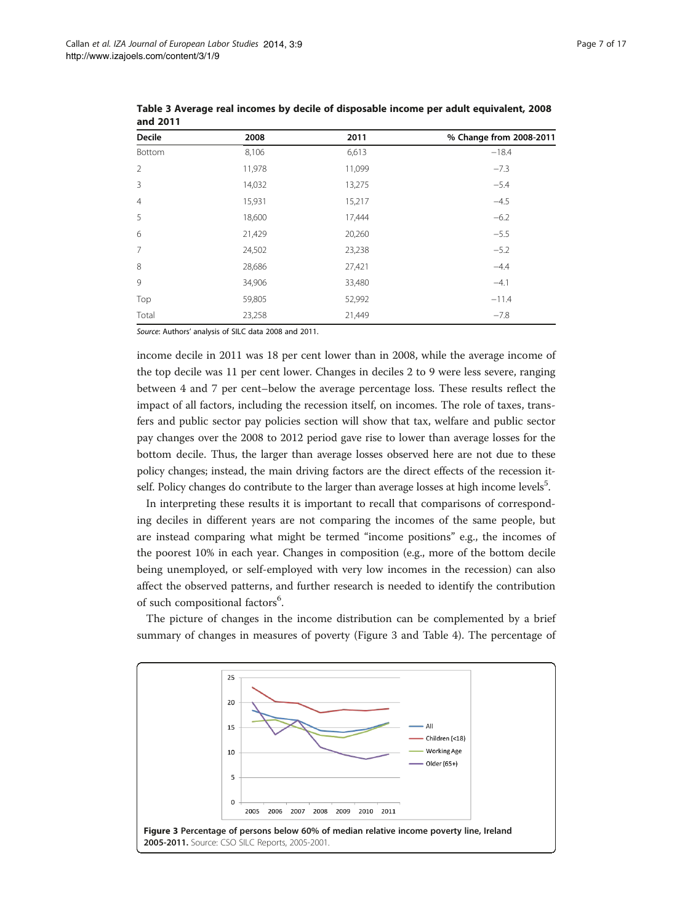| Decile | 2008   | 2011   | % Change from 2008-2011 |
|--------|--------|--------|-------------------------|
| Bottom | 8,106  | 6,613  | $-18.4$                 |
| 2      | 11,978 | 11,099 | $-7.3$                  |
| 3      | 14,032 | 13,275 | $-5.4$                  |
| 4      | 15,931 | 15,217 | $-4.5$                  |
| 5      | 18,600 | 17,444 | $-6.2$                  |
| 6      | 21,429 | 20,260 | $-5.5$                  |
| 7      | 24,502 | 23,238 | $-5.2$                  |
| 8      | 28,686 | 27,421 | $-4.4$                  |
| 9      | 34,906 | 33,480 | $-4.1$                  |
| Top    | 59,805 | 52,992 | $-11.4$                 |
|        |        |        |                         |

Total 23,258 21,449 −7.8

<span id="page-6-0"></span>Table 3 Average real incomes by decile of disposable income per adult equivalent, 2008 and 2011

Source: Authors' analysis of SILC data 2008 and 2011.

income decile in 2011 was 18 per cent lower than in 2008, while the average income of the top decile was 11 per cent lower. Changes in deciles 2 to 9 were less severe, ranging between 4 and 7 per cent–below the average percentage loss. These results reflect the impact of all factors, including the recession itself, on incomes. [The role of taxes, trans](#page-12-0)[fers and public sector pay policies](#page-12-0) section will show that tax, welfare and public sector pay changes over the 2008 to 2012 period gave rise to lower than average losses for the bottom decile. Thus, the larger than average losses observed here are not due to these policy changes; instead, the main driving factors are the direct effects of the recession itself. Policy changes do contribute to the larger than average losses at high income levels $^5$ .

In interpreting these results it is important to recall that comparisons of corresponding deciles in different years are not comparing the incomes of the same people, but are instead comparing what might be termed "income positions" e.g., the incomes of the poorest 10% in each year. Changes in composition (e.g., more of the bottom decile being unemployed, or self-employed with very low incomes in the recession) can also affect the observed patterns, and further research is needed to identify the contribution of such compositional factors<sup>6</sup>.

The picture of changes in the income distribution can be complemented by a brief summary of changes in measures of poverty (Figure 3 and Table [4\)](#page-7-0). The percentage of

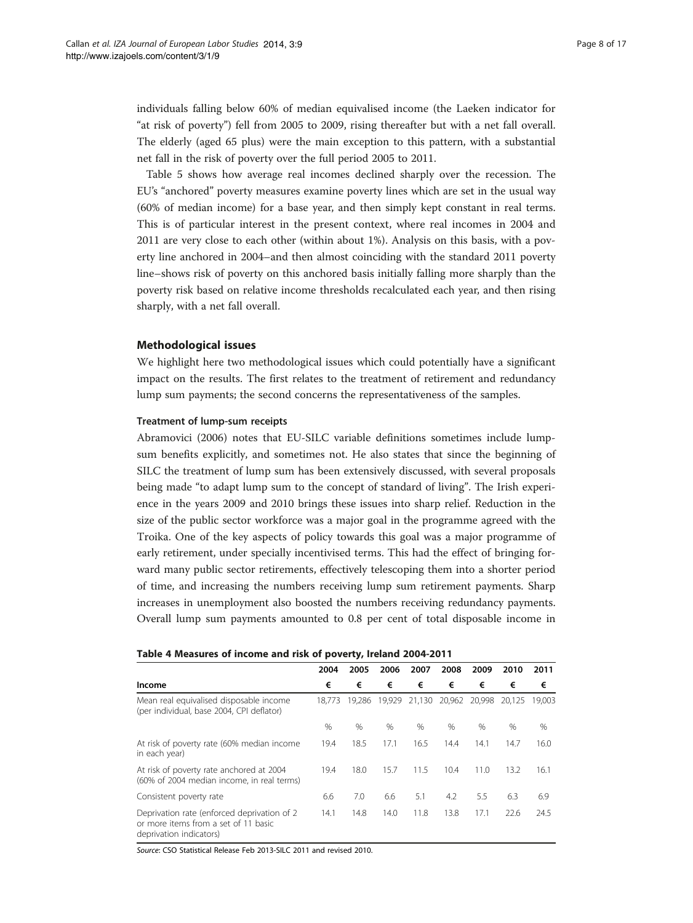<span id="page-7-0"></span>individuals falling below 60% of median equivalised income (the Laeken indicator for "at risk of poverty") fell from 2005 to 2009, rising thereafter but with a net fall overall. The elderly (aged 65 plus) were the main exception to this pattern, with a substantial net fall in the risk of poverty over the full period 2005 to 2011.

Table [5](#page-9-0) shows how average real incomes declined sharply over the recession. The EU's "anchored" poverty measures examine poverty lines which are set in the usual way (60% of median income) for a base year, and then simply kept constant in real terms. This is of particular interest in the present context, where real incomes in 2004 and 2011 are very close to each other (within about 1%). Analysis on this basis, with a poverty line anchored in 2004–and then almost coinciding with the standard 2011 poverty line–shows risk of poverty on this anchored basis initially falling more sharply than the poverty risk based on relative income thresholds recalculated each year, and then rising sharply, with a net fall overall.

#### Methodological issues

We highlight here two methodological issues which could potentially have a significant impact on the results. The first relates to the treatment of retirement and redundancy lump sum payments; the second concerns the representativeness of the samples.

#### Treatment of lump-sum receipts

Abramovici ([2006](#page-15-0)) notes that EU-SILC variable definitions sometimes include lumpsum benefits explicitly, and sometimes not. He also states that since the beginning of SILC the treatment of lump sum has been extensively discussed, with several proposals being made "to adapt lump sum to the concept of standard of living". The Irish experience in the years 2009 and 2010 brings these issues into sharp relief. Reduction in the size of the public sector workforce was a major goal in the programme agreed with the Troika. One of the key aspects of policy towards this goal was a major programme of early retirement, under specially incentivised terms. This had the effect of bringing forward many public sector retirements, effectively telescoping them into a shorter period of time, and increasing the numbers receiving lump sum retirement payments. Sharp increases in unemployment also boosted the numbers receiving redundancy payments. Overall lump sum payments amounted to 0.8 per cent of total disposable income in

|  |  |  |  |  |  |  |  |  | Table 4 Measures of income and risk of poverty, Ireland 2004-2011 |
|--|--|--|--|--|--|--|--|--|-------------------------------------------------------------------|
|--|--|--|--|--|--|--|--|--|-------------------------------------------------------------------|

|                                                                                                                | 2004   | 2005   | 2006   | 2007   | 2008   | 2009   | 2010   | 2011   |
|----------------------------------------------------------------------------------------------------------------|--------|--------|--------|--------|--------|--------|--------|--------|
| Income                                                                                                         | €      | €      | €      | €      | €      | €      | €      | €      |
| Mean real equivalised disposable income<br>(per individual, base 2004, CPI deflator)                           | 18.773 | 19.286 | 19.929 | 21,130 | 20,962 | 20.998 | 20.125 | 19.003 |
|                                                                                                                | $\%$   | $\%$   | $\%$   | $\%$   | $\%$   | $\%$   | $\%$   | $\%$   |
| At risk of poverty rate (60% median income<br>in each year)                                                    | 19.4   | 18.5   | 17.1   | 16.5   | 14.4   | 14.1   | 14.7   | 16.0   |
| At risk of poverty rate anchored at 2004<br>(60% of 2004 median income, in real terms)                         | 19.4   | 18.0   | 15.7   | 11.5   | 10.4   | 11.0   | 13.2   | 16.1   |
| Consistent poverty rate                                                                                        | 6.6    | 7.0    | 6.6    | 5.1    | 4.2    | 5.5    | 6.3    | 6.9    |
| Deprivation rate (enforced deprivation of 2<br>or more items from a set of 11 basic<br>deprivation indicators) | 14.1   | 14.8   | 14.0   | 11.8   | 13.8   | 17.1   | 22.6   | 24.5   |

Source: CSO Statistical Release Feb 2013-SILC 2011 and revised 2010.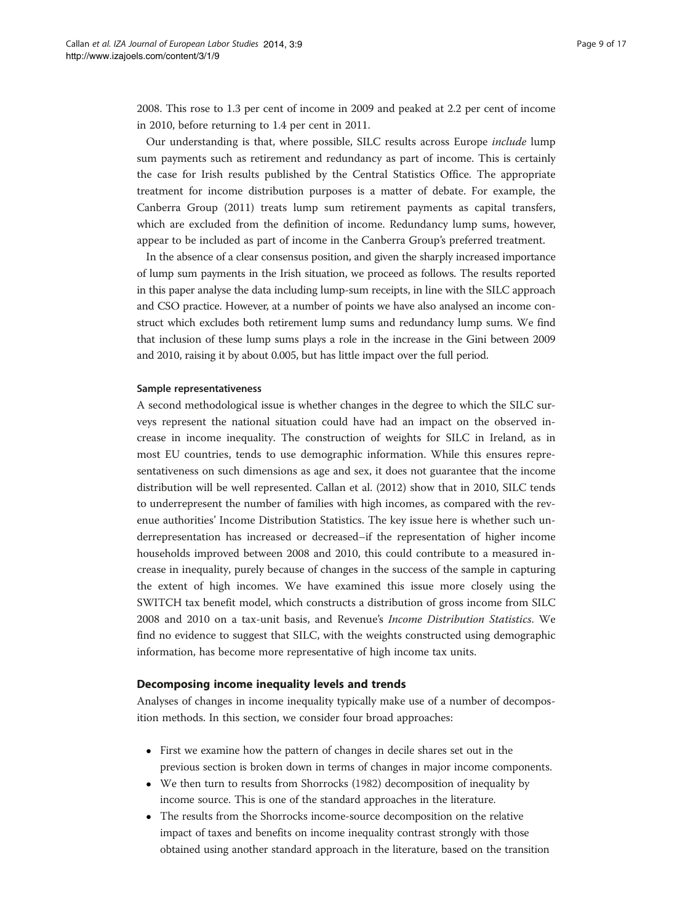<span id="page-8-0"></span>2008. This rose to 1.3 per cent of income in 2009 and peaked at 2.2 per cent of income in 2010, before returning to 1.4 per cent in 2011.

Our understanding is that, where possible, SILC results across Europe include lump sum payments such as retirement and redundancy as part of income. This is certainly the case for Irish results published by the Central Statistics Office. The appropriate treatment for income distribution purposes is a matter of debate. For example, the Canberra Group ([2011\)](#page-16-0) treats lump sum retirement payments as capital transfers, which are excluded from the definition of income. Redundancy lump sums, however, appear to be included as part of income in the Canberra Group's preferred treatment.

In the absence of a clear consensus position, and given the sharply increased importance of lump sum payments in the Irish situation, we proceed as follows. The results reported in this paper analyse the data including lump-sum receipts, in line with the SILC approach and CSO practice. However, at a number of points we have also analysed an income construct which excludes both retirement lump sums and redundancy lump sums. We find that inclusion of these lump sums plays a role in the increase in the Gini between 2009 and 2010, raising it by about 0.005, but has little impact over the full period.

#### Sample representativeness

A second methodological issue is whether changes in the degree to which the SILC surveys represent the national situation could have had an impact on the observed increase in income inequality. The construction of weights for SILC in Ireland, as in most EU countries, tends to use demographic information. While this ensures representativeness on such dimensions as age and sex, it does not guarantee that the income distribution will be well represented. Callan et al. ([2012](#page-16-0)) show that in 2010, SILC tends to underrepresent the number of families with high incomes, as compared with the revenue authorities' Income Distribution Statistics. The key issue here is whether such underrepresentation has increased or decreased–if the representation of higher income households improved between 2008 and 2010, this could contribute to a measured increase in inequality, purely because of changes in the success of the sample in capturing the extent of high incomes. We have examined this issue more closely using the SWITCH tax benefit model, which constructs a distribution of gross income from SILC 2008 and 2010 on a tax-unit basis, and Revenue's Income Distribution Statistics. We find no evidence to suggest that SILC, with the weights constructed using demographic information, has become more representative of high income tax units.

#### Decomposing income inequality levels and trends

Analyses of changes in income inequality typically make use of a number of decomposition methods. In this section, we consider four broad approaches:

- First we examine how the pattern of changes in decile shares set out in the previous section is broken down in terms of changes in major income components.
- We then turn to results from Shorrocks ([1982\)](#page-16-0) decomposition of inequality by income source. This is one of the standard approaches in the literature.
- The results from the Shorrocks income-source decomposition on the relative impact of taxes and benefits on income inequality contrast strongly with those obtained using another standard approach in the literature, based on the transition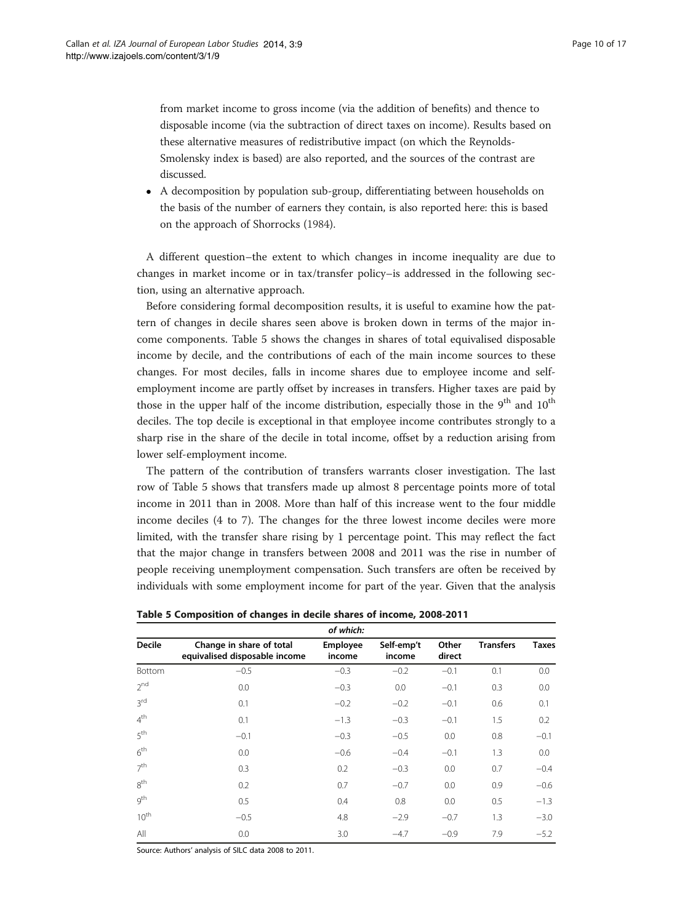<span id="page-9-0"></span>from market income to gross income (via the addition of benefits) and thence to disposable income (via the subtraction of direct taxes on income). Results based on these alternative measures of redistributive impact (on which the Reynolds-Smolensky index is based) are also reported, and the sources of the contrast are discussed.

 A decomposition by population sub-group, differentiating between households on the basis of the number of earners they contain, is also reported here: this is based on the approach of Shorrocks [\(1984](#page-16-0)).

A different question–the extent to which changes in income inequality are due to changes in market income or in tax/transfer policy–is addressed in the following section, using an alternative approach.

Before considering formal decomposition results, it is useful to examine how the pattern of changes in decile shares seen above is broken down in terms of the major income components. Table 5 shows the changes in shares of total equivalised disposable income by decile, and the contributions of each of the main income sources to these changes. For most deciles, falls in income shares due to employee income and selfemployment income are partly offset by increases in transfers. Higher taxes are paid by those in the upper half of the income distribution, especially those in the  $9<sup>th</sup>$  and  $10<sup>th</sup>$ deciles. The top decile is exceptional in that employee income contributes strongly to a sharp rise in the share of the decile in total income, offset by a reduction arising from lower self-employment income.

The pattern of the contribution of transfers warrants closer investigation. The last row of Table 5 shows that transfers made up almost 8 percentage points more of total income in 2011 than in 2008. More than half of this increase went to the four middle income deciles (4 to 7). The changes for the three lowest income deciles were more limited, with the transfer share rising by 1 percentage point. This may reflect the fact that the major change in transfers between 2008 and 2011 was the rise in number of people receiving unemployment compensation. Such transfers are often be received by individuals with some employment income for part of the year. Given that the analysis

|                 |                                                           | of which:                 |                      |                 |                  |              |
|-----------------|-----------------------------------------------------------|---------------------------|----------------------|-----------------|------------------|--------------|
| <b>Decile</b>   | Change in share of total<br>equivalised disposable income | <b>Employee</b><br>income | Self-emp't<br>income | Other<br>direct | <b>Transfers</b> | <b>Taxes</b> |
| Bottom          | $-0.5$                                                    | $-0.3$                    | $-0.2$               | $-0.1$          | 0.1              | 0.0          |
| 2 <sup>nd</sup> | 0.0                                                       | $-0.3$                    | 0.0                  | $-0.1$          | 0.3              | 0.0          |
| 3 <sup>rd</sup> | 0.1                                                       | $-0.2$                    | $-0.2$               | $-0.1$          | 0.6              | 0.1          |
| 4 <sup>th</sup> | 0.1                                                       | $-1.3$                    | $-0.3$               | $-0.1$          | 1.5              | 0.2          |
| 5 <sup>th</sup> | $-0.1$                                                    | $-0.3$                    | $-0.5$               | 0.0             | 0.8              | $-0.1$       |
| 6 <sup>th</sup> | 0.0                                                       | $-0.6$                    | $-0.4$               | $-0.1$          | 1.3              | 0.0          |
| 7 <sup>th</sup> | 0.3                                                       | 0.2                       | $-0.3$               | 0.0             | 0.7              | $-0.4$       |
| 8 <sup>th</sup> | 0.2                                                       | 0.7                       | $-0.7$               | 0.0             | 0.9              | $-0.6$       |
| gth             | 0.5                                                       | 0.4                       | 0.8                  | 0.0             | 0.5              | $-1.3$       |
| $10^{th}$       | $-0.5$                                                    | 4.8                       | $-2.9$               | $-0.7$          | 1.3              | $-3.0$       |
| All             | 0.0                                                       | 3.0                       | $-4.7$               | $-0.9$          | 7.9              | $-5.2$       |

Table 5 Composition of changes in decile shares of income, 2008-2011

Source: Authors' analysis of SILC data 2008 to 2011.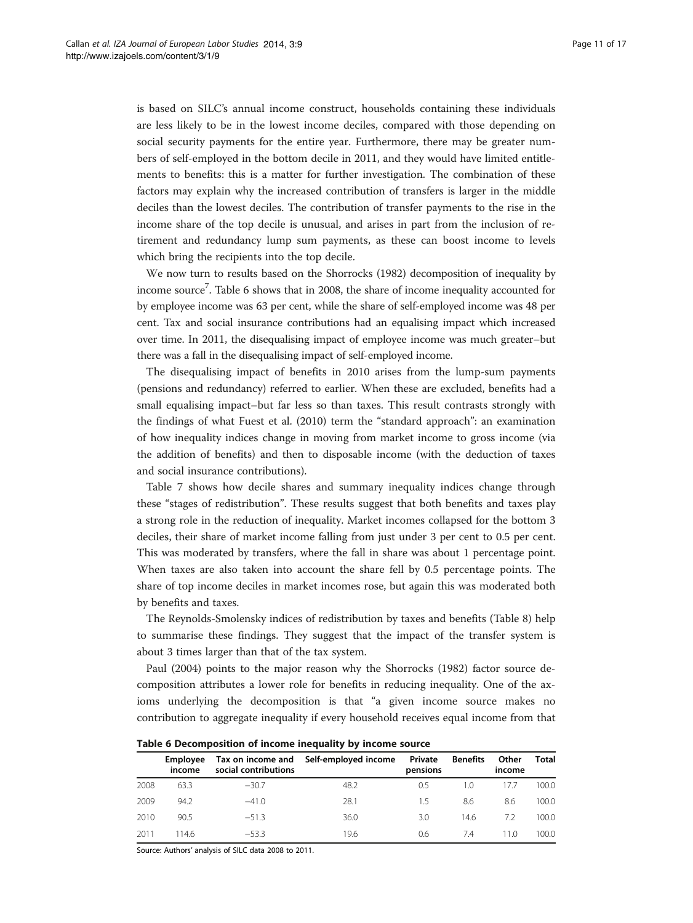is based on SILC's annual income construct, households containing these individuals are less likely to be in the lowest income deciles, compared with those depending on social security payments for the entire year. Furthermore, there may be greater numbers of self-employed in the bottom decile in 2011, and they would have limited entitlements to benefits: this is a matter for further investigation. The combination of these factors may explain why the increased contribution of transfers is larger in the middle deciles than the lowest deciles. The contribution of transfer payments to the rise in the income share of the top decile is unusual, and arises in part from the inclusion of retirement and redundancy lump sum payments, as these can boost income to levels which bring the recipients into the top decile.

We now turn to results based on the Shorrocks ([1982](#page-16-0)) decomposition of inequality by income source<sup>7</sup>. Table 6 shows that in 2008, the share of income inequality accounted for by employee income was 63 per cent, while the share of self-employed income was 48 per cent. Tax and social insurance contributions had an equalising impact which increased over time. In 2011, the disequalising impact of employee income was much greater–but there was a fall in the disequalising impact of self-employed income.

The disequalising impact of benefits in 2010 arises from the lump-sum payments (pensions and redundancy) referred to earlier. When these are excluded, benefits had a small equalising impact–but far less so than taxes. This result contrasts strongly with the findings of what Fuest et al. [\(2010\)](#page-16-0) term the "standard approach": an examination of how inequality indices change in moving from market income to gross income (via the addition of benefits) and then to disposable income (with the deduction of taxes and social insurance contributions).

Table [7](#page-11-0) shows how decile shares and summary inequality indices change through these "stages of redistribution". These results suggest that both benefits and taxes play a strong role in the reduction of inequality. Market incomes collapsed for the bottom 3 deciles, their share of market income falling from just under 3 per cent to 0.5 per cent. This was moderated by transfers, where the fall in share was about 1 percentage point. When taxes are also taken into account the share fell by 0.5 percentage points. The share of top income deciles in market incomes rose, but again this was moderated both by benefits and taxes.

The Reynolds-Smolensky indices of redistribution by taxes and benefits (Table [8](#page-11-0)) help to summarise these findings. They suggest that the impact of the transfer system is about 3 times larger than that of the tax system.

Paul ([2004](#page-16-0)) points to the major reason why the Shorrocks ([1982](#page-16-0)) factor source decomposition attributes a lower role for benefits in reducing inequality. One of the axioms underlying the decomposition is that "a given income source makes no contribution to aggregate inequality if every household receives equal income from that

|      | Employee<br>income | social contributions | Tax on income and Self-employed income | Private<br>pensions | <b>Benefits</b> | Other<br>income | Total |
|------|--------------------|----------------------|----------------------------------------|---------------------|-----------------|-----------------|-------|
| 2008 | 63.3               | $-30.7$              | 48.2                                   | 0.5                 | 1.0             |                 | 100.0 |
| 2009 | 94.2               | $-41.0$              | 28.1                                   | 1.5                 | 8.6             | 8.6             | 100.0 |
| 2010 | 90.5               | $-51.3$              | 36.0                                   | 3.0                 | 14.6            | 7.2             | 100.0 |
| 2011 | 114.6              | $-53.3$              | 19.6                                   | 0.6                 | 7.4             | 11 O            | 100.0 |

Table 6 Decomposition of income inequality by income source

Source: Authors' analysis of SILC data 2008 to 2011.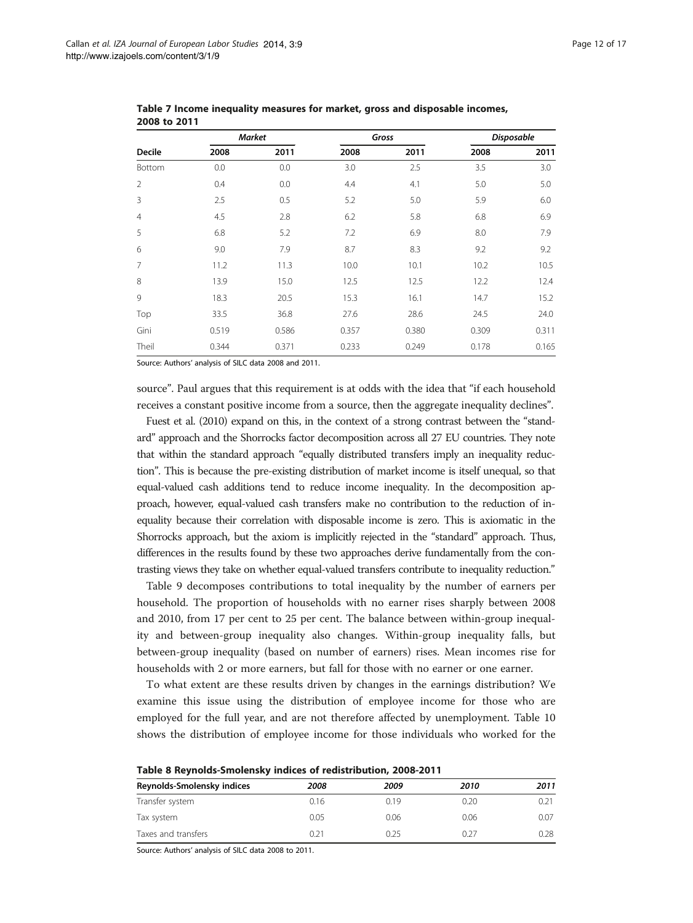|                |       | <b>Market</b> |       | Gross | <b>Disposable</b> |       |
|----------------|-------|---------------|-------|-------|-------------------|-------|
| <b>Decile</b>  | 2008  | 2011          | 2008  | 2011  | 2008              | 2011  |
| Bottom         | 0.0   | 0.0           | 3.0   | 2.5   | 3.5               | 3.0   |
| $\overline{2}$ | 0.4   | 0.0           | 4.4   | 4.1   | 5.0               | 5.0   |
| 3              | 2.5   | 0.5           | 5.2   | 5.0   | 5.9               | 6.0   |
| 4              | 4.5   | 2.8           | 6.2   | 5.8   | 6.8               | 6.9   |
| 5              | 6.8   | 5.2           | 7.2   | 6.9   | 8.0               | 7.9   |
| 6              | 9.0   | 7.9           | 8.7   | 8.3   | 9.2               | 9.2   |
| $\overline{7}$ | 11.2  | 11.3          | 10.0  | 10.1  | 10.2              | 10.5  |
| 8              | 13.9  | 15.0          | 12.5  | 12.5  | 12.2              | 12.4  |
| 9              | 18.3  | 20.5          | 15.3  | 16.1  | 14.7              | 15.2  |
| Top            | 33.5  | 36.8          | 27.6  | 28.6  | 24.5              | 24.0  |
| Gini           | 0.519 | 0.586         | 0.357 | 0.380 | 0.309             | 0.311 |
| Theil          | 0.344 | 0.371         | 0.233 | 0.249 | 0.178             | 0.165 |

<span id="page-11-0"></span>Table 7 Income inequality measures for market, gross and disposable incomes, 2008 to 2011

Source: Authors' analysis of SILC data 2008 and 2011.

source". Paul argues that this requirement is at odds with the idea that "if each household receives a constant positive income from a source, then the aggregate inequality declines".

Fuest et al. [\(2010\)](#page-16-0) expand on this, in the context of a strong contrast between the "standard" approach and the Shorrocks factor decomposition across all 27 EU countries. They note that within the standard approach "equally distributed transfers imply an inequality reduction". This is because the pre-existing distribution of market income is itself unequal, so that equal-valued cash additions tend to reduce income inequality. In the decomposition approach, however, equal-valued cash transfers make no contribution to the reduction of inequality because their correlation with disposable income is zero. This is axiomatic in the Shorrocks approach, but the axiom is implicitly rejected in the "standard" approach. Thus, differences in the results found by these two approaches derive fundamentally from the contrasting views they take on whether equal-valued transfers contribute to inequality reduction."

Table [9](#page-12-0) decomposes contributions to total inequality by the number of earners per household. The proportion of households with no earner rises sharply between 2008 and 2010, from 17 per cent to 25 per cent. The balance between within-group inequality and between-group inequality also changes. Within-group inequality falls, but between-group inequality (based on number of earners) rises. Mean incomes rise for households with 2 or more earners, but fall for those with no earner or one earner.

To what extent are these results driven by changes in the earnings distribution? We examine this issue using the distribution of employee income for those who are employed for the full year, and are not therefore affected by unemployment. Table [10](#page-12-0) shows the distribution of employee income for those individuals who worked for the

| Reynolds-Smolensky indices | 2008 | 2009 | 2010 | 2011 |  |  |
|----------------------------|------|------|------|------|--|--|
| Transfer system            | 0.16 | 0.19 | 0.20 | 0.21 |  |  |
| Tax system                 | 0.05 | 0.06 | 0.06 | 0.07 |  |  |
| Taxes and transfers        | 0.21 | 0.25 | 0.27 | 0.28 |  |  |

Table 8 Reynolds-Smolensky indices of redistribution, 2008-2011

Source: Authors' analysis of SILC data 2008 to 2011.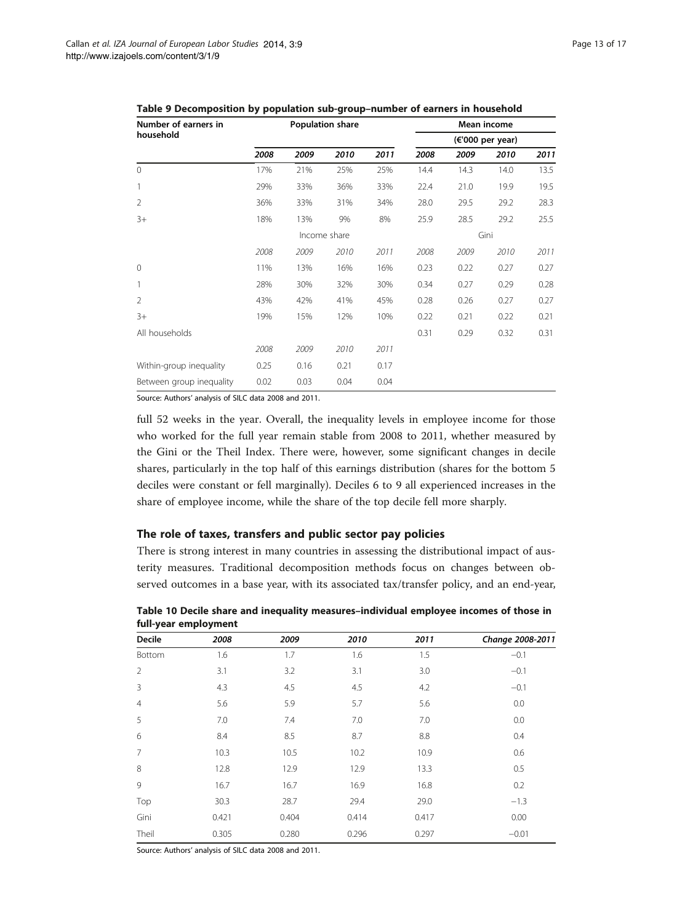| Number of earners in     |      |      | Population share |      | Mean income |      |                       |      |
|--------------------------|------|------|------------------|------|-------------|------|-----------------------|------|
| household                |      |      |                  |      |             |      | $(\in$ '000 per year) |      |
|                          | 2008 | 2009 | 2010             | 2011 | 2008        | 2009 | 2010                  | 2011 |
| $\Omega$                 | 17%  | 21%  | 25%              | 25%  | 14.4        | 14.3 | 14.0                  | 13.5 |
| 1                        | 29%  | 33%  | 36%              | 33%  | 22.4        | 21.0 | 19.9                  | 19.5 |
| $\overline{2}$           | 36%  | 33%  | 31%              | 34%  | 28.0        | 29.5 | 29.2                  | 28.3 |
| $3+$                     | 18%  | 13%  | 9%               | 8%   | 25.9        | 28.5 | 29.2                  | 25.5 |
| Income share             |      |      | Gini             |      |             |      |                       |      |
|                          | 2008 | 2009 | 2010             | 2011 | 2008        | 2009 | 2010                  | 2011 |
| $\mathbf 0$              | 11%  | 13%  | 16%              | 16%  | 0.23        | 0.22 | 0.27                  | 0.27 |
|                          | 28%  | 30%  | 32%              | 30%  | 0.34        | 0.27 | 0.29                  | 0.28 |
| $\overline{2}$           | 43%  | 42%  | 41%              | 45%  | 0.28        | 0.26 | 0.27                  | 0.27 |
| $3+$                     | 19%  | 15%  | 12%              | 10%  | 0.22        | 0.21 | 0.22                  | 0.21 |
| All households           |      |      |                  |      | 0.31        | 0.29 | 0.32                  | 0.31 |
|                          | 2008 | 2009 | 2010             | 2011 |             |      |                       |      |
| Within-group inequality  | 0.25 | 0.16 | 0.21             | 0.17 |             |      |                       |      |
| Between group inequality | 0.02 | 0.03 | 0.04             | 0.04 |             |      |                       |      |

<span id="page-12-0"></span>

| Table 9 Decomposition by population sub-group-number of earners in household |  |  |  |  |
|------------------------------------------------------------------------------|--|--|--|--|
|------------------------------------------------------------------------------|--|--|--|--|

Source: Authors' analysis of SILC data 2008 and 2011.

full 52 weeks in the year. Overall, the inequality levels in employee income for those who worked for the full year remain stable from 2008 to 2011, whether measured by the Gini or the Theil Index. There were, however, some significant changes in decile shares, particularly in the top half of this earnings distribution (shares for the bottom 5 deciles were constant or fell marginally). Deciles 6 to 9 all experienced increases in the share of employee income, while the share of the top decile fell more sharply.

#### The role of taxes, transfers and public sector pay policies

There is strong interest in many countries in assessing the distributional impact of austerity measures. Traditional decomposition methods focus on changes between observed outcomes in a base year, with its associated tax/transfer policy, and an end-year,

| <b>Decile</b>  | 2008  | 2009  | 2010  | 2011  | Change 2008-2011 |
|----------------|-------|-------|-------|-------|------------------|
| Bottom         | 1.6   | 1.7   | 1.6   | 1.5   | $-0.1$           |
| $\overline{2}$ | 3.1   | 3.2   | 3.1   | 3.0   | $-0.1$           |
| 3              | 4.3   | 4.5   | 4.5   | 4.2   | $-0.1$           |
| $\overline{4}$ | 5.6   | 5.9   | 5.7   | 5.6   | 0.0              |
| 5              | 7.0   | 7.4   | 7.0   | 7.0   | 0.0              |
| 6              | 8.4   | 8.5   | 8.7   | 8.8   | 0.4              |
| 7              | 10.3  | 10.5  | 10.2  | 10.9  | 0.6              |
| 8              | 12.8  | 12.9  | 12.9  | 13.3  | 0.5              |
| 9              | 16.7  | 16.7  | 16.9  | 16.8  | 0.2              |
| Top            | 30.3  | 28.7  | 29.4  | 29.0  | $-1.3$           |
| Gini           | 0.421 | 0.404 | 0.414 | 0.417 | 0.00             |
| Theil          | 0.305 | 0.280 | 0.296 | 0.297 | $-0.01$          |

Table 10 Decile share and inequality measures–individual employee incomes of those in full-year employment

Source: Authors' analysis of SILC data 2008 and 2011.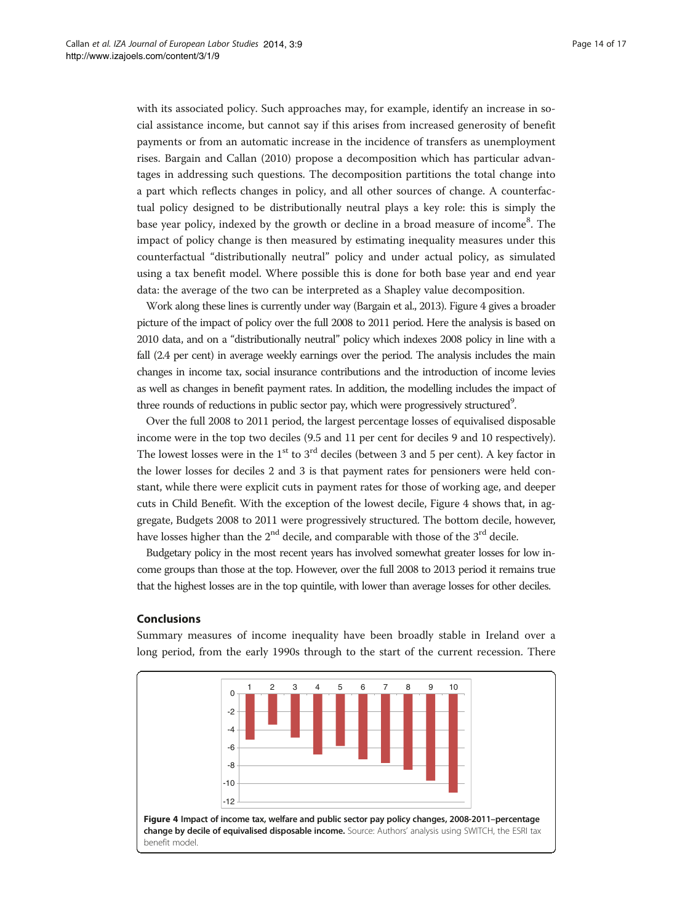<span id="page-13-0"></span>with its associated policy. Such approaches may, for example, identify an increase in social assistance income, but cannot say if this arises from increased generosity of benefit payments or from an automatic increase in the incidence of transfers as unemployment rises. Bargain and Callan ([2010](#page-15-0)) propose a decomposition which has particular advantages in addressing such questions. The decomposition partitions the total change into a part which reflects changes in policy, and all other sources of change. A counterfactual policy designed to be distributionally neutral plays a key role: this is simply the base year policy, indexed by the growth or decline in a broad measure of income<sup>8</sup>. The impact of policy change is then measured by estimating inequality measures under this counterfactual "distributionally neutral" policy and under actual policy, as simulated using a tax benefit model. Where possible this is done for both base year and end year data: the average of the two can be interpreted as a Shapley value decomposition.

Work along these lines is currently under way (Bargain et al., [2013](#page-15-0)). Figure 4 gives a broader picture of the impact of policy over the full 2008 to 2011 period. Here the analysis is based on 2010 data, and on a "distributionally neutral" policy which indexes 2008 policy in line with a fall (2.4 per cent) in average weekly earnings over the period. The analysis includes the main changes in income tax, social insurance contributions and the introduction of income levies as well as changes in benefit payment rates. In addition, the modelling includes the impact of three rounds of reductions in public sector pay, which were progressively structured<sup>9</sup>.

Over the full 2008 to 2011 period, the largest percentage losses of equivalised disposable income were in the top two deciles (9.5 and 11 per cent for deciles 9 and 10 respectively). The lowest losses were in the  $1<sup>st</sup>$  to  $3<sup>rd</sup>$  deciles (between 3 and 5 per cent). A key factor in the lower losses for deciles 2 and 3 is that payment rates for pensioners were held constant, while there were explicit cuts in payment rates for those of working age, and deeper cuts in Child Benefit. With the exception of the lowest decile, Figure 4 shows that, in aggregate, Budgets 2008 to 2011 were progressively structured. The bottom decile, however, have losses higher than the  $2<sup>nd</sup>$  decile, and comparable with those of the  $3<sup>rd</sup>$  decile.

Budgetary policy in the most recent years has involved somewhat greater losses for low income groups than those at the top. However, over the full 2008 to 2013 period it remains true that the highest losses are in the top quintile, with lower than average losses for other deciles.

#### Conclusions

Summary measures of income inequality have been broadly stable in Ireland over a long period, from the early 1990s through to the start of the current recession. There

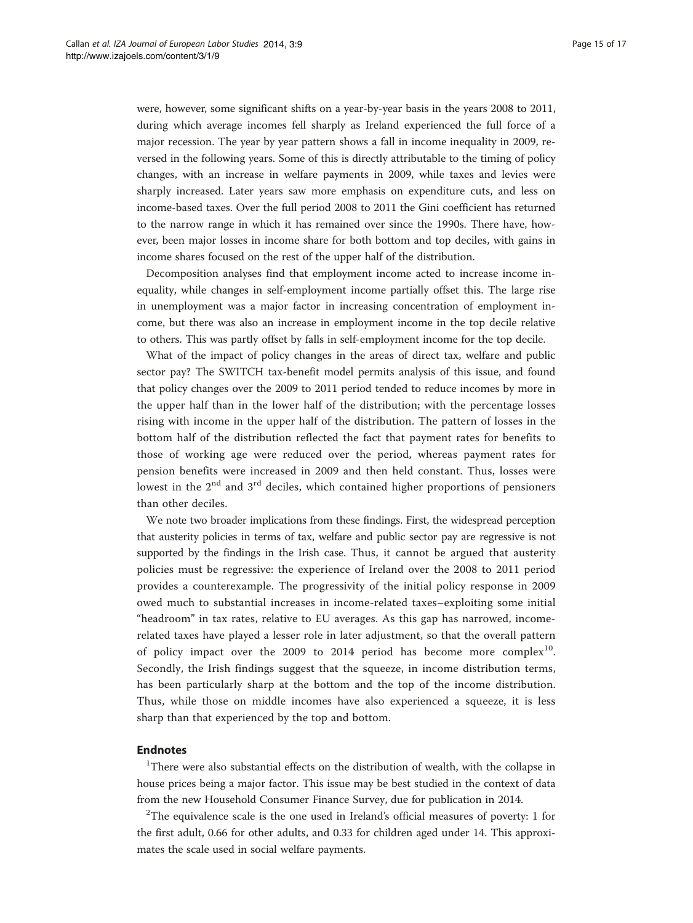were, however, some significant shifts on a year-by-year basis in the years 2008 to 2011, during which average incomes fell sharply as Ireland experienced the full force of a major recession. The year by year pattern shows a fall in income inequality in 2009, reversed in the following years. Some of this is directly attributable to the timing of policy changes, with an increase in welfare payments in 2009, while taxes and levies were sharply increased. Later years saw more emphasis on expenditure cuts, and less on income-based taxes. Over the full period 2008 to 2011 the Gini coefficient has returned to the narrow range in which it has remained over since the 1990s. There have, however, been major losses in income share for both bottom and top deciles, with gains in income shares focused on the rest of the upper half of the distribution.

Decomposition analyses find that employment income acted to increase income inequality, while changes in self-employment income partially offset this. The large rise in unemployment was a major factor in increasing concentration of employment income, but there was also an increase in employment income in the top decile relative to others. This was partly offset by falls in self-employment income for the top decile.

What of the impact of policy changes in the areas of direct tax, welfare and public sector pay? The SWITCH tax-benefit model permits analysis of this issue, and found that policy changes over the 2009 to 2011 period tended to reduce incomes by more in the upper half than in the lower half of the distribution; with the percentage losses rising with income in the upper half of the distribution. The pattern of losses in the bottom half of the distribution reflected the fact that payment rates for benefits to those of working age were reduced over the period, whereas payment rates for pension benefits were increased in 2009 and then held constant. Thus, losses were lowest in the  $2<sup>nd</sup>$  and  $3<sup>rd</sup>$  deciles, which contained higher proportions of pensioners than other deciles.

We note two broader implications from these findings. First, the widespread perception that austerity policies in terms of tax, welfare and public sector pay are regressive is not supported by the findings in the Irish case. Thus, it cannot be argued that austerity policies must be regressive: the experience of Ireland over the 2008 to 2011 period provides a counterexample. The progressivity of the initial policy response in 2009 owed much to substantial increases in income-related taxes–exploiting some initial "headroom" in tax rates, relative to EU averages. As this gap has narrowed, incomerelated taxes have played a lesser role in later adjustment, so that the overall pattern of policy impact over the 2009 to 2014 period has become more complex<sup>10</sup>. Secondly, the Irish findings suggest that the squeeze, in income distribution terms, has been particularly sharp at the bottom and the top of the income distribution. Thus, while those on middle incomes have also experienced a squeeze, it is less sharp than that experienced by the top and bottom.

#### Endnotes

<sup>1</sup>There were also substantial effects on the distribution of wealth, with the collapse in house prices being a major factor. This issue may be best studied in the context of data from the new Household Consumer Finance Survey, due for publication in 2014.

 $2$ The equivalence scale is the one used in Ireland's official measures of poverty: 1 for the first adult, 0.66 for other adults, and 0.33 for children aged under 14. This approximates the scale used in social welfare payments.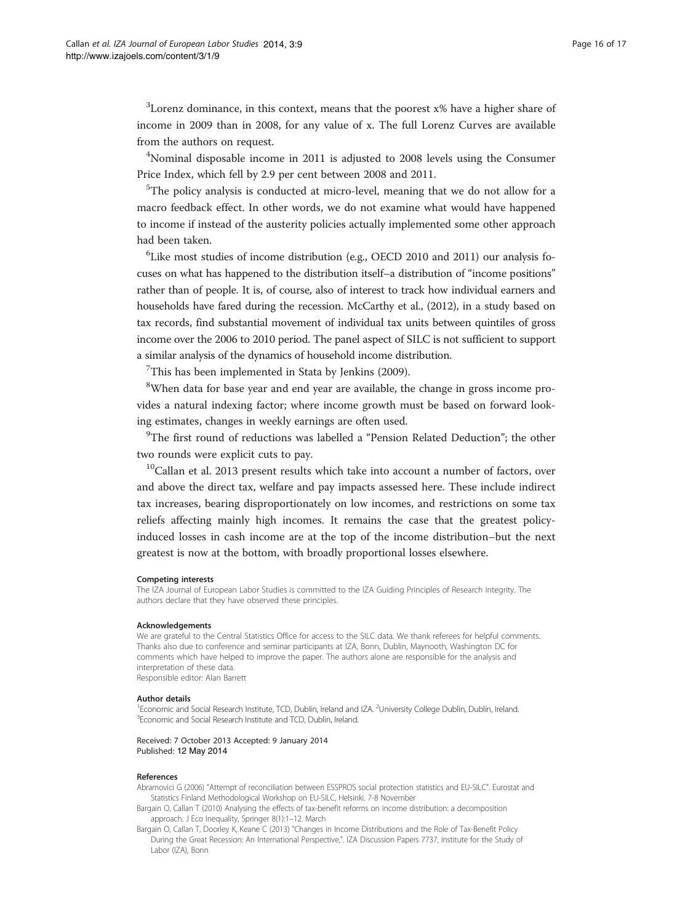<span id="page-15-0"></span> $3$ Lorenz dominance, in this context, means that the poorest x% have a higher share of income in 2009 than in 2008, for any value of x. The full Lorenz Curves are available from the authors on request.

<sup>4</sup>Nominal disposable income in 2011 is adjusted to 2008 levels using the Consumer Price Index, which fell by 2.9 per cent between 2008 and 2011.

<sup>5</sup>The policy analysis is conducted at micro-level, meaning that we do not allow for a macro feedback effect. In other words, we do not examine what would have happened to income if instead of the austerity policies actually implemented some other approach had been taken.

<sup>6</sup>Like most studies of income distribution (e.g., OECD [2010](#page-16-0) and [2011\)](#page-16-0) our analysis focuses on what has happened to the distribution itself–a distribution of "income positions" rather than of people. It is, of course, also of interest to track how individual earners and households have fared during the recession. McCarthy et al., [\(2012](#page-16-0)), in a study based on tax records, find substantial movement of individual tax units between quintiles of gross income over the 2006 to 2010 period. The panel aspect of SILC is not sufficient to support a similar analysis of the dynamics of household income distribution.

 $7$ This has been implemented in Stata by Jenkins ([2009\)](#page-16-0).

<sup>8</sup>When data for base year and end year are available, the change in gross income provides a natural indexing factor; where income growth must be based on forward looking estimates, changes in weekly earnings are often used.

<sup>9</sup>The first round of reductions was labelled a "Pension Related Deduction"; the other two rounds were explicit cuts to pay.

 $10$ Callan et al. [2013](#page-16-0) present results which take into account a number of factors, over and above the direct tax, welfare and pay impacts assessed here. These include indirect tax increases, bearing disproportionately on low incomes, and restrictions on some tax reliefs affecting mainly high incomes. It remains the case that the greatest policyinduced losses in cash income are at the top of the income distribution–but the next greatest is now at the bottom, with broadly proportional losses elsewhere.

#### Competing interests

The IZA Journal of European Labor Studies is committed to the IZA Guiding Principles of Research Integrity. The authors declare that they have observed these principles.

#### Acknowledgements

We are grateful to the Central Statistics Office for access to the SILC data. We thank referees for helpful comments. Thanks also due to conference and seminar participants at IZA, Bonn, Dublin, Maynooth, Washington DC for comments which have helped to improve the paper. The authors alone are responsible for the analysis and interpretation of these data. Responsible editor: Alan Barrett

#### Author details

<sup>1</sup> Economic and Social Research Institute, TCD, Dublin, Ireland and IZA. <sup>2</sup> University College Dublin, Dublin, Ireland.<br><sup>3</sup> Economic and Social Research Institute and TCD. Dublin, Ireland <sup>3</sup> Economic and Social Research Institute and TCD, Dublin, Ireland.

#### Received: 7 October 2013 Accepted: 9 January 2014 Published: 12 May 2014

#### References

Abramovici G (2006) "Attempt of reconciliation between ESSPROS social protection statistics and EU-SILC". Eurostat and Statistics Finland Methodological Workshop on EU-SILC, Helsinki. 7-8 November

Bargain O, Callan T (2010) Analysing the effects of tax-benefit reforms on income distribution: a decomposition approach. J Eco Inequality, Springer 8(1):1–12. March

Bargain O, Callan T, Doorley K, Keane C (2013) "Changes in Income Distributions and the Role of Tax-Benefit Policy During the Great Recession: An International Perspective,". IZA Discussion Papers 7737, Institute for the Study of Labor (IZA), Bonn